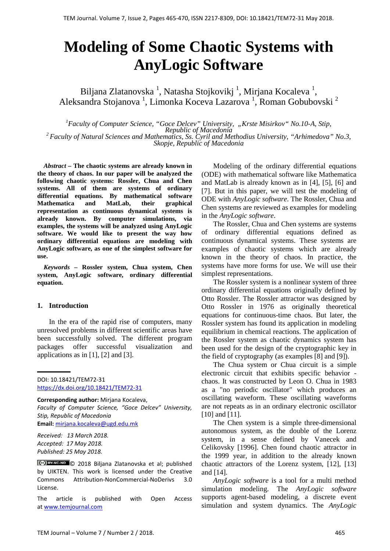# **Modeling of Some Chaotic Systems with AnyLogic Software**

Biljana Zlatanovska<sup>1</sup>, Natasha Stojkovikj<sup>1</sup>, Mirjana Kocaleva<sup>1</sup>, Aleksandra Stojanova<sup>1</sup>, Limonka Koceva Lazarova<sup>1</sup>, Roman Gobubovski<sup>2</sup>

*1 Faculty of Computer Science, "Goce Delcev" University, "Krste Misirkov" No.10-A*, *Stip, Republic of Macedonia*<br><sup>2</sup> *Faculty of Natural Sciences and Mathematics, Ss. Cyril and Methodius University, "Arhimedova" No.3, Skopje, Republic of Macedonia* 

*Abstract –* **The chaotic systems are already known in the theory of chaos. In our paper will be analyzed the following chaotic systems: Rossler, Chua and Chen systems. All of them are systems of ordinary differential equations. By mathematical software Mathematica and MatLab, their graphical representation as continuous dynamical systems is already known. By computer simulations, via examples, the systems will be analyzed using AnyLogic software. We would like to present the way how ordinary differential equations are modeling with AnyLogic software, as one of the simplest software for use.**

*Keywords –* **Rossler system, Chua system, Chen system, AnyLogic software, ordinary differential equation.**

## **1. Introduction**

In the era of the rapid rise of computers, many unresolved problems in different scientific areas have been successfully solved. The different program packages offer successful visualization and applications as in  $[1]$ ,  $[2]$  and  $[3]$ .

DOI: 10.18421/TEM72-31 <https://dx.doi.org/10.18421/TEM72-31>

**Corresponding author:** Mirjana Kocaleva, *Faculty of Computer Science, "Goce Delcev" University, Stip, Republic of Macedonia* **Email:** mirjana.kocaleva@ugd.edu.mk

*Received: 13 March 2018. Accepted: 17 May 2018. Published: 25 May 2018.*

© 2018 Biljana Zlatanovska et al; published by UIKTEN. This work is licensed under the Creative Commons Attribution-NonCommercial-NoDerivs 3.0 License.

The article is published with Open Access a[t www.temjournal.com](http://www.temjournal.com/)

Modeling of the ordinary differential equations (ODE) with mathematical software like Mathematica and MatLab is already known as in [4], [5], [6] and [7]. But in this paper, we will test the modeling of ODE with *AnyLogic software*. The Rossler, Chua and Chen systems are reviewed as examples for modeling in the *AnyLogic software*.

The Rossler, Chua and Chen systems are systems of ordinary differential equations defined as continuous dynamical systems. These systems are examples of chaotic systems which are already known in the theory of chaos. In practice, the systems have more forms for use. We will use their simplest representations.

The Rossler system is a nonlinear system of three ordinary differential equations originally defined by Otto Rossler. The Rossler attractor was designed by Otto Rossler in 1976 as originally theoretical equations for continuous-time chaos. But later, the Rossler system has found its application in modeling equilibrium in chemical reactions. The application of the Rossler system as chaotic dynamics system has been used for the design of the cryptographic key in the field of cryptography (as examples [8] and [9]).

The Chua system or Chua circuit is a simple electronic circuit that exhibits specific behavior chaos. It was constructed by Leon O. Chua in 1983 as a "no periodic oscillator" which produces an oscillating waveform. These oscillating waveforms are not repeats as in an ordinary electronic oscillator [10] and [11].

The Chen system is a simple three-dimensional autonomous system, as the double of the Lorenz system, in a sense defined by Vanecek and Celikovsky [1996]. Chen found chaotic attractor in the 1999 year, in addition to the already known chaotic attractors of the Lorenz system, [12], [13] and [14].

*AnyLogic software* is a tool for a multi method simulation modeling. The *AnyLogic software* supports agent-based modeling, a discrete event simulation and system dynamics. The *AnyLogic*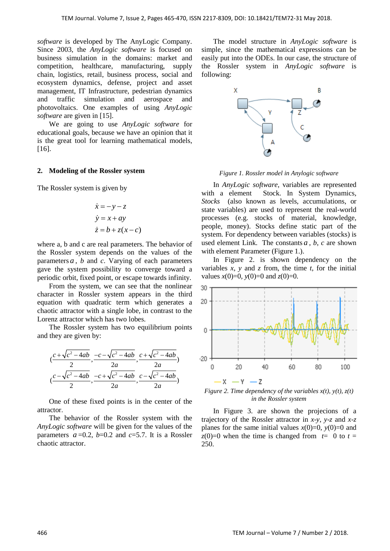*software* is developed by The AnyLogic Company. Since 2003, the *AnyLogic software* is focused on business simulation in the domains: market and competition, healthcare, manufacturing, supply chain, logistics, retail, business process, social and ecosystem dynamics, defense, project and asset management, IT Infrastructure, pedestrian dynamics and traffic simulation and aerospace and photovoltaics. One examples of using *AnyLogic software* are given in [15].

We are going to use *AnyLogic software* for educational goals, because we have an opinion that it is the great tool for learning mathematical models, [16].

## **2. Modeling of the Rossler system**

The Rossler system is given by

$$
\begin{aligned}\n\dot{x} &= -y - z \\
\dot{y} &= x + ay \\
\dot{z} &= b + z(x - c)\n\end{aligned}
$$

where a, b and c are real parameters. The behavior of the Rossler system depends on the values of the parameters *a* , *b* and *c*. Varying of each parameters gave the system possibility to converge toward a periodic orbit, fixed point, or escape towards infinity.

From the system, we can see that the nonlinear character in Rossler system appears in the third equation with quadratic term which generates a chaotic attractor with a single lobe, in contrast to the Lorenz attractor which has two lobes.

The Rossler system has two equilibrium points and they are given by:

$$
(\frac{c+\sqrt{c^2-4ab}}{2}, \frac{-c-\sqrt{c^2-4ab}}{2a}, \frac{c+\sqrt{c^2-4ab}}{2a})
$$

$$
(\frac{c-\sqrt{c^2-4ab}}{2}, \frac{-c+\sqrt{c^2-4ab}}{2a}, \frac{c-\sqrt{c^2-4ab}}{2a})
$$

One of these fixed points is in the center of the attractor.

The behavior of the Rossler system with the *AnyLogic software* will be given for the values of the parameters  $a = 0.2$ ,  $b = 0.2$  and  $c = 5.7$ . It is a Rossler chaotic attractor.

The model structure in *AnyLogic software* is simple, since the mathematical expressions can be easily put into the ODEs. In our case, the structure of the Rossler system in *AnyLogic software* is following:



*Figure 1. Rossler model in Anylogic software*

In *AnyLogic software*, variables are represented with a element Stock. In System Dynamics, *Stocks* (also known as levels, accumulations, or state variables) are used to represent the real-world processes (e.g. stocks of material, knowledge, people, money). Stocks define static part of the system. For dependency between variables (stocks) is used element Link. The constants  $a$ ,  $b$ ,  $c$  are shown with element Parameter (Figure 1.).

In Figure 2. is shown dependency on the variables  $x$ ,  $y$  and  $z$  from, the time  $t$ , for the initial values  $x(0)=0$ ,  $y(0)=0$  and  $z(0)=0$ .



*Figure 2. Time dependency of the variables*  $x(t)$ *,*  $y(t)$ *,*  $z(t)$ *in the Rossler system*

In Figure 3. are shown the projecions of a trajectory of the Rossler attractor in *x*-*y*, *y*-*z* and *x*-*z* planes for the same initial values  $x(0)=0$ ,  $y(0)=0$  and  $z(0)=0$  when the time is changed from  $t=0$  to  $t=$ 250.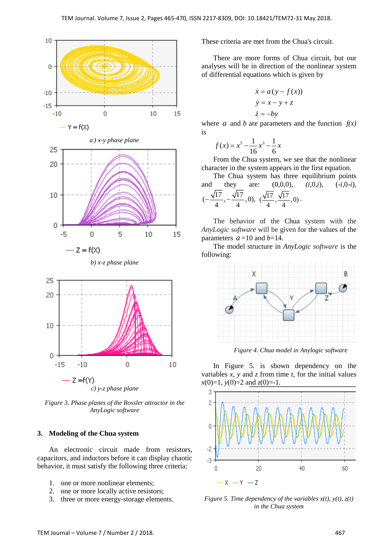

*c) y-z phase plane*

*Figure 3. Phase planes of the Rossler attractor in the AnyLogic software*

#### **3. Modeling of the Chua system**

An electronic circuit made from resistors, capacitors, and inductors before it can display chaotic behavior, it must satisfy the following three criteria:

- 1. one or more nonlinear elements;
- 2. one or more locally active resistors;
- 3. three or more energy-storage elements.

These criteria are met from the Chua's circuit.

There are more forms of Chua circuit, but our analyses will be in direction of the nonlinear system of differential equations which is given by

$$
\begin{aligned}\n\dot{x} &= a(y - f(x)) \\
\dot{y} &= x - y + z \\
\dot{z} &= -by\n\end{aligned}
$$

where *a* and *b* are parameters and the function  $f(x)$ is

$$
f(x) = x^5 - \frac{1}{16}x^3 - \frac{1}{6}x
$$

From the Chua system, we see that the nonlinear character in the system appears in the first equation.

The Chua system has three equilibrium points and they are: (0,0,0), *(i*,0,*i*), (-*i*,0-*i*),  $\left(-\frac{\sqrt{17}}{4}, -\frac{\sqrt{17}}{4}, 0\right), \ \left(\frac{\sqrt{17}}{4}, \frac{\sqrt{17}}{4}, 0\right).$ 

The behavior of the Chua system with the *AnyLogic software* will be given for the values of the parameters  $a = 10$  and  $b = 14$ .

The model structure in *AnyLogic software* is the following:



*Figure 4. Chua model in Anylogic software*

In Figure 5. is shown dependency on the variables *x*, *y* and *z* from time *t*, for the initial values *x*(0)=1*, y*(0)=2 and *z*(0)=-1*.*



*Figure 5. Time dependency of the variables*  $x(t)$ *,*  $y(t)$ *,*  $z(t)$ *in the Chua system*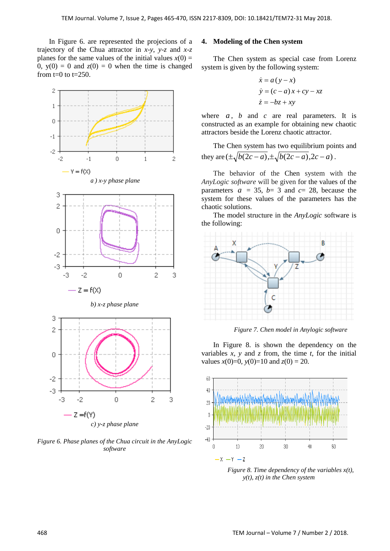In Figure 6. are represented the projecions of a trajectory of the Chua attractor in *x*-*y*, *y*-*z* and *x*-*z* planes for the same values of the initial values  $x(0) =$ 0,  $y(0) = 0$  and  $z(0) = 0$  when the time is changed from  $t=0$  to  $t=250$ .



*Figure 6. Phase planes of the Chua circuit in the AnyLogic software*

# **4. Modeling of the Chen system**

The Chen system as special case from Lorenz system is given by the following system:

$$
\begin{aligned}\n\dot{x} &= a(y - x) \\
\dot{y} &= (c - a)x + cy - xz \\
\dot{z} &= -bz + xy\n\end{aligned}
$$

where  $a$ ,  $b$  and  $c$  are real parameters. It is constructed as an example for obtaining new chaotic attractors beside the Lorenz chaotic attractor.

The Chen system has two equilibrium points and they are  $(\pm \sqrt{b(2c-a)}, \pm \sqrt{b(2c-a)}, 2c-a)$ .

The behavior of the Chen system with the *AnyLogic software* will be given for the values of the parameters  $a = 35$ ,  $b = 3$  and  $c = 28$ , because the system for these values of the parameters has the chaotic solutions.

The model structure in the *AnyLogic* software is the following:



*Figure 7. Chen model in Anylogic software*

In Figure 8. is shown the dependency on the variables  $x$ ,  $y$  and  $z$  from, the time  $t$ , for the initial values  $x(0)=0$ ,  $y(0)=10$  and  $z(0)=20$ .



*Figure 8. Time dependency of the variables x(t), y(t), z(t) in the Chen system*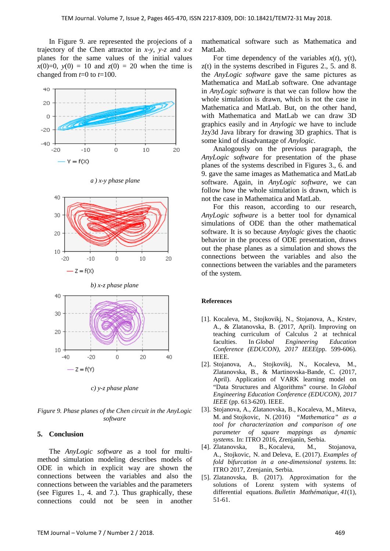In Figure 9. are represented the projecions of a trajectory of the Chen attractor in *x*-*y*, *y*-*z* and *x*-*z* planes for the same values of the initial values  $x(0)=0$ ,  $y(0) = 10$  and  $z(0) = 20$  when the time is changed from *t*=0 to *t*=100.









*c) y-z phase plane*

*Figure 9. Phase planes of the Chen circuit in the AnyLogic software*

## **5. Conclusion**

The *AnyLogic software* as a tool for multimethod simulation modeling describes models of ODE in which in explicit way are shown the connections between the variables and also the connections between the variables and the parameters (see Figures 1., 4. and 7.). Thus graphically, these connections could not be seen in another mathematical software such as Mathematica and MatLab.

For time dependency of the variables  $x(t)$ ,  $y(t)$ , z(t) in the systems described in Figures 2., 5. and 8. the *AnyLogic software* gave the same pictures as Mathematica and MatLab software. One advantage in *AnyLogic software* is that we can follow how the whole simulation is drawn, which is not the case in Mathematica and MatLab. But, on the other hand, with Mathematica and MatLab we can draw 3D graphics easily and in *Anylogic* we have to include Jzy3d Java library for drawing 3D graphics. That is some kind of disadvantage of *Anylogic*.

Analogously on the previous paragraph, the *AnyLogic software* for presentation of the phase planes of the systems described in Figures 3., 6. and 9. gave the same images as Mathematica and MatLab software. Again, in *AnyLogic software*, we can follow how the whole simulation is drawn, which is not the case in Mathematica and MatLab.

For this reason, according to our research, *AnyLogic software* is a better tool for dynamical simulations of ODE than the other mathematical software. It is so because *Anylogic* gives the chaotic behavior in the process of ODE presentation, draws out the phase planes as a simulation and shows the connections between the variables and also the connections between the variables and the parameters of the system.

#### **References**

- [1]. Kocaleva, M., Stojkovikj, N., Stojanova, A., Krstev, A., & Zlatanovska, B. (2017, April). Improving on teaching curriculum of Calculus 2 at technical faculties. In *Global Engineering Education Conference (EDUCON), 2017 IEEE*(pp. 599-606). IEEE.
- [2]. Stojanova, A., Stojkovikj, N., Kocaleva, M., Zlatanovska, B., & Martinovska-Bande, C. (2017, April). Application of VARK learning model on "Data Structures and Algorithms" course. In *Global Engineering Education Conference (EDUCON), 2017 IEEE* (pp. 613-620). IEEE.
- [3]. Stojanova, A., Zlatanovska, B., Kocaleva, M., Miteva, M. and Stojkovic, N. (2016) *"Mathematica" as a tool for characterization and comparison of one parameter of square mappings as dynamic systems.* In: ITRO 2016, Zrenjanin, Serbia.
- [4]. Zlatanovska, B., Kocaleva, M., Stojanova, A., Stojkovic, N. and Deleva, E. (2017). *Examples of fold bifurcation in a one-dimensional systems.* In: ITRO 2017, Zrenjanin, Serbia.
- [5]. Zlatanovska, B. (2017). Approximation for the solutions of Lorenz system with systems of differential equations. *Bulletin Mathématique*, *41*(1), 51-61.